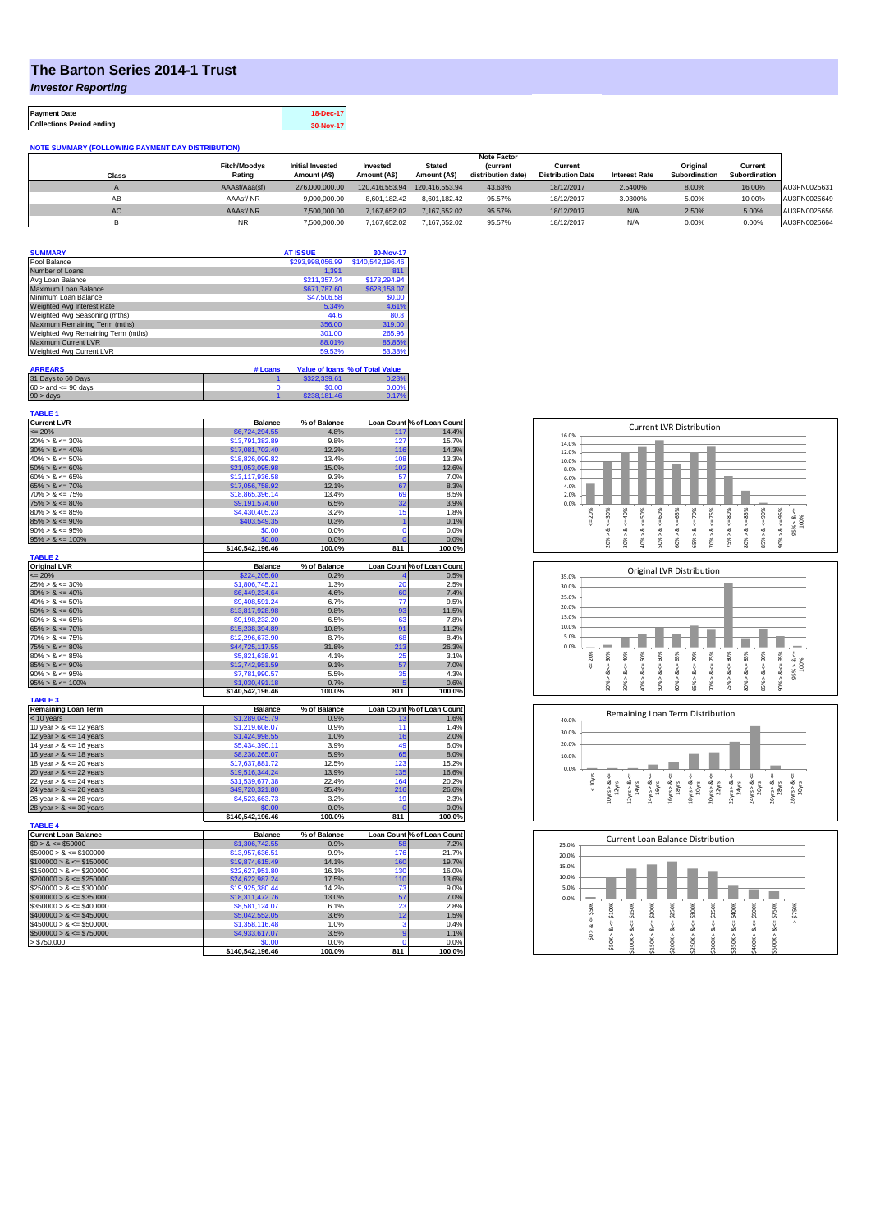## **The Barton Series 2014-1 Trust**

*Investor Reporting*

**Payment Date 18-Dec-17 Collections Period ending 30-Nov-17**

| <b>NOTE SUMMARY (FOLLOWING PAYMENT DAY DISTRIBUTION)</b> |  |
|----------------------------------------------------------|--|
|----------------------------------------------------------|--|

|           |                     |                         |                |                | <b>Note Factor</b> |                          |                      |               |               |              |
|-----------|---------------------|-------------------------|----------------|----------------|--------------------|--------------------------|----------------------|---------------|---------------|--------------|
|           | <b>Fitch/Moodys</b> | <b>Initial Invested</b> | Invested       | <b>Stated</b>  | <b>Current</b>     | Current                  |                      | Original      | Current       |              |
| Class     | Rating              | Amount (A\$)            | Amount (A\$)   | Amount (A\$)   | distribution date  | <b>Distribution Date</b> | <b>Interest Rate</b> | Subordination | Subordination |              |
|           | AAAsf/Aaa(sf)       | 276,000,000,00          | 120.416.553.94 | 120.416.553.94 | 43.63%             | 18/12/2017               | 2.5400%              | 8.00%         | 16.00%        | AU3FN0025631 |
| AB        | AAAsf/NR            | 9.000.000.00            | 8.601.182.42   | 8.601.182.42   | 95.57%             | 18/12/2017               | 3.0300%              | 5.00%         | 10.00%        | AU3FN0025649 |
| <b>AC</b> | AAAsf/NR            | 7.500.000.00            | 7.167.652.02   | 7.167.652.02   | 95.57%             | 18/12/2017               | N/A                  | 2.50%         | 5.00%         | AU3FN0025656 |
|           | <b>NR</b>           | 7.500.000.00            | 167.652.02     | 7.167.652.02   | 95.57%             | 18/12/2017               | N/A                  | 0.00%         | 0.00%         | AU3FN0025664 |

| <b>SUMMARY</b>                     |         | <b>AT ISSUE</b>  | 30-Nov-17                       |
|------------------------------------|---------|------------------|---------------------------------|
| Pool Balance                       |         | \$293,998,056.99 | \$140,542,196.46                |
| Number of Loans                    |         | 1.391            | 811                             |
| Avg Loan Balance                   |         | \$211.357.34     | \$173,294.94                    |
| Maximum Loan Balance               |         | \$671,787.60     | \$628,158.07                    |
| Minimum Loan Balance               |         | \$47,506.58      | \$0.00                          |
| Weighted Avg Interest Rate         |         | 5.34%            | 4.61%                           |
| Weighted Avg Seasoning (mths)      |         | 44.6             | 80.8                            |
| Maximum Remaining Term (mths)      |         | 356.00           | 319.00                          |
| Weighted Avg Remaining Term (mths) |         | 301.00           | 265.96                          |
| Maximum Current LVR                |         | 88.01%           | 85.86%                          |
| Weighted Avg Current LVR           |         | 59.53%           | 53.38%                          |
|                                    |         |                  |                                 |
| <b>ARREARS</b>                     | # Loans |                  | Value of Ioans % of Total Value |

| .                         |              |       |
|---------------------------|--------------|-------|
| 31 Days to 60 Days        | \$322,339.61 | 0.23% |
| $60 >$ and $\leq 90$ days | \$0.00       | 0.00% |
| $90 >$ days               | \$238,181.46 | 0.17% |

| <b>TABLE 1</b><br><b>Current LVR</b>                                                                                                                                                                                                    | <b>Balance</b>             | % of Balance   |                 | Loan Count % of Loan Count |
|-----------------------------------------------------------------------------------------------------------------------------------------------------------------------------------------------------------------------------------------|----------------------------|----------------|-----------------|----------------------------|
| $= 20%$                                                                                                                                                                                                                                 | \$6,724,294.55             | 4.8%           | 117             | 14.4%                      |
| $20\% > 8 \le 30\%$                                                                                                                                                                                                                     | \$13,791,382.89            | 9.8%           | 127             | 15.7%                      |
| $30\% > 8 \le 40\%$                                                                                                                                                                                                                     | \$17,081,702.40            | 12.2%          | 116             | 14.3%                      |
| $40\% > 8 \le 50\%$                                                                                                                                                                                                                     | \$18,826,099.82            | 13.4%          | 108             | 13.3%                      |
| $50\% > 8 \le 60\%$                                                                                                                                                                                                                     | \$21,053,095.98            | 15.0%          | 102             | 12.6%                      |
| $60\% > 8 \le 65\%$                                                                                                                                                                                                                     | \$13,117,936.58            | 9.3%           | 57              | 7.0%                       |
| $65\% > 8 \le 70\%$                                                                                                                                                                                                                     | \$17.056.758.92            | 12.1%          | 67              | 8.3%                       |
| $70\% > 8 \le 75\%$                                                                                                                                                                                                                     | \$18,865,396.14            | 13.4%          | 69              | 8.5%                       |
| $75\% > 8 \le 80\%$                                                                                                                                                                                                                     | \$9,191,574.60             | 6.5%           | 32              | 3.9%                       |
| $80\% > 8 \le 85\%$                                                                                                                                                                                                                     | \$4,430,405.23             | 3.2%           | 15              | 1.8%                       |
| $85\% > 8 \le 90\%$                                                                                                                                                                                                                     | \$403,549.35               | 0.3%           |                 | 0.1%                       |
| $90\% > 8 \le 95\%$                                                                                                                                                                                                                     | \$0.00                     | 0.0%           | $\mathbf 0$     | 0.0%                       |
| $95\% > 8 \le 100\%$                                                                                                                                                                                                                    | \$0.00                     | 0.0%           | C               | 0.0%                       |
|                                                                                                                                                                                                                                         | \$140,542,196.46           | 100.0%         | 811             | 100.0%                     |
| <b>TABLE 2</b>                                                                                                                                                                                                                          |                            |                |                 |                            |
| <b>Original LVR</b>                                                                                                                                                                                                                     | Balance                    | % of Balance   |                 | Loan Count % of Loan Count |
| $= 20%$                                                                                                                                                                                                                                 | \$224,205.60               | 0.2%           |                 | 0.5%                       |
| $25\% > 8 \le 30\%$                                                                                                                                                                                                                     | \$1,806,745.21             | 1.3%           | 20              | 2.5%                       |
| $30\% > 8 \le 40\%$                                                                                                                                                                                                                     | \$6,449,234.64             | 4.6%           | 60              | 7.4%                       |
| $40\% > 8 \le 50\%$                                                                                                                                                                                                                     | \$9,408,591.24             | 6.7%           | 77              | 9.5%                       |
| $50\% > 8 \le 60\%$                                                                                                                                                                                                                     | \$13,817,928.98            | 9.8%           | 93              | 11.5%                      |
| $60\% > 8 \le 65\%$                                                                                                                                                                                                                     | \$9,198,232.20             | 6.5%           | 63              | 7.8%                       |
| $65\% > 8 \le 70\%$                                                                                                                                                                                                                     | \$15,238,394.89            | 10.8%          | 91              | 11.2%                      |
| $70\% > 8 \le 75\%$                                                                                                                                                                                                                     | \$12,296,673.90            | 8.7%           | 68              | 8.4%                       |
| $75\% > 8 \le 80\%$                                                                                                                                                                                                                     | \$44,725,117.55            | 31.8%          | 213             | 26.3%                      |
| $80\% > 8 \le 85\%$                                                                                                                                                                                                                     | \$5,821,638.91             | 4.1%           | 25              | 3.1%                       |
| $85\% > 8 \le 90\%$                                                                                                                                                                                                                     | \$12,742,951.59            | 9.1%           | 57              | 7.0%                       |
| $90\% > 8 \le 95\%$                                                                                                                                                                                                                     | \$7.781.990.57             | 5.5%           | 35              | 4.3%                       |
| $95\% > 8 \le 100\%$                                                                                                                                                                                                                    | \$1,030,491.18             | 0.7%           | 5               | 0.6%                       |
|                                                                                                                                                                                                                                         | \$140,542,196.46           | 100.0%         | 811             | 100.0%                     |
| <b>TABLE 3</b>                                                                                                                                                                                                                          |                            |                |                 |                            |
| <b>Remaining Loan Term</b>                                                                                                                                                                                                              | <b>Balance</b>             | % of Balance   |                 | Loan Count % of Loan Count |
| < 10 years                                                                                                                                                                                                                              | \$1,289,045.79             | 0.9%           | 13              | 1.6%                       |
| 10 year $> 8 \le 12$ years                                                                                                                                                                                                              | \$1,219,608.07             | 0.9%           | 11              | 1.4%                       |
| 12 year $> 8 \le 14$ years                                                                                                                                                                                                              | \$1,424,998.55             | 1.0%           | 16              | 2.0%                       |
| 14 year $> 8 \le 16$ years                                                                                                                                                                                                              | \$5,434,390.11             | 3.9%           | 49              | 6.0%                       |
| 16 year $> 8 \le 18$ years                                                                                                                                                                                                              | \$8,236,265.07             | 5.9%           | 65              | 8.0%                       |
| 18 year $> 8 \le 20$ years                                                                                                                                                                                                              | \$17,637,881.72            | 12.5%          | 123             | 15.2%                      |
| 20 year $> 8 \le 22$ years                                                                                                                                                                                                              | \$19,516,344.24            | 13.9%          | 135             | 16.6%                      |
| 22 year $> 8 \le 24$ years                                                                                                                                                                                                              | \$31,539,677.38            | 22.4%          | 164             | 20.2%                      |
| 24 year $> 8 \le 26$ years                                                                                                                                                                                                              | \$49,720,321.80            | 35.4%          | 216             | 26.6%                      |
| 26 year $> 8 \le 28$ years                                                                                                                                                                                                              | \$4,523,663.73             | 3.2%           | 19              | 2.3%                       |
| 28 year $> 8 \le 30$ years                                                                                                                                                                                                              | \$0.00                     | 0.0%           | 0               | 0.0%                       |
|                                                                                                                                                                                                                                         | \$140,542,196.46           | 100.0%         | 811             | 100.0%                     |
| <b>TABLE 4</b>                                                                                                                                                                                                                          |                            |                |                 |                            |
| <b>Current Loan Balance</b>                                                                                                                                                                                                             | <b>Balance</b>             | % of Balance   |                 | Loan Count % of Loan Count |
| $$0 > 8 \leq $50000$                                                                                                                                                                                                                    | \$1,306,742.55             | 0.9%           | 58              | 7.2%                       |
|                                                                                                                                                                                                                                         |                            | 9.9%           | 176             | 21.7%                      |
|                                                                                                                                                                                                                                         |                            |                |                 |                            |
|                                                                                                                                                                                                                                         | \$13,957,636.51            |                |                 |                            |
|                                                                                                                                                                                                                                         | \$19,874,615.49            | 14.1%          | 160             | 19.7%                      |
|                                                                                                                                                                                                                                         | \$22,627,951.80            | 16.1%          | 130             | 16.0%                      |
|                                                                                                                                                                                                                                         | \$24,622,987.24            | 17.5%          | 110             | 13.6%                      |
| $$250000 > 8 \leq $300000$                                                                                                                                                                                                              | \$19,925,380.44            | 14.2%          | 73              | 9.0%                       |
|                                                                                                                                                                                                                                         | \$18,311,472.76            | 13.0%          | 57              | 7.0%                       |
|                                                                                                                                                                                                                                         | \$8,581,124.07             | 6.1%           | 23              | 2.8%                       |
| $$400000 > 8 \le $450000$                                                                                                                                                                                                               | \$5,042,552.05             | 3.6%           | 12              | 1.5%                       |
|                                                                                                                                                                                                                                         | \$1,358,116.48             | 1.0%           | 3               | 0.4%                       |
| $$50000 > 8 \leq $100000$<br>$$100000 > 8 \le $150000$<br>$$150000 > 8 \leq $200000$<br>$$200000 > 8 \leq $250000$<br>$$300000 > 8 \leq $350000$<br>$$350000 > 8 \le $400000$<br>$$450000 > 8 \le $500000$<br>$$500000 > 8 \le $750000$ | \$4,933,617.07             | 3.5%           | 9               | 1.1%                       |
| > \$750,000                                                                                                                                                                                                                             | \$0.00<br>\$140,542,196.46 | 0.0%<br>100.0% | $\Omega$<br>811 | 0.0%<br>100.0%             |







| 25.0%   |                  |                   |                        |                           |             |                  |  |
|---------|------------------|-------------------|------------------------|---------------------------|-------------|------------------|--|
| 20.0%   |                  |                   |                        |                           |             |                  |  |
| 15.0%   |                  |                   |                        |                           |             |                  |  |
| 10.0%   |                  |                   |                        |                           |             |                  |  |
| 5.0%    |                  |                   |                        |                           |             |                  |  |
| 0.0%    |                  |                   |                        |                           |             |                  |  |
| \$50K   | \$150K<br>\$100K | \$200K            | \$250K<br>\$300K       | \$350K<br>$4 = 5400K$     | \$500K      | \$750K<br>\$750K |  |
| ű       |                  |                   |                        | H                         |             | Λ                |  |
| ∞       | V<br>ಯ<br>œ      | ő<br>త            | ű<br>ಜ<br>œ            | œ                         | œ           | ₩                |  |
| ٨<br>S. | Λ<br>\$50K>      | \$150K><br>\$100K | \$250K><br>Λ<br>\$200K | \$350K > 8<br>٨<br>\$300K | Λ<br>\$400K | \$500K > 8       |  |